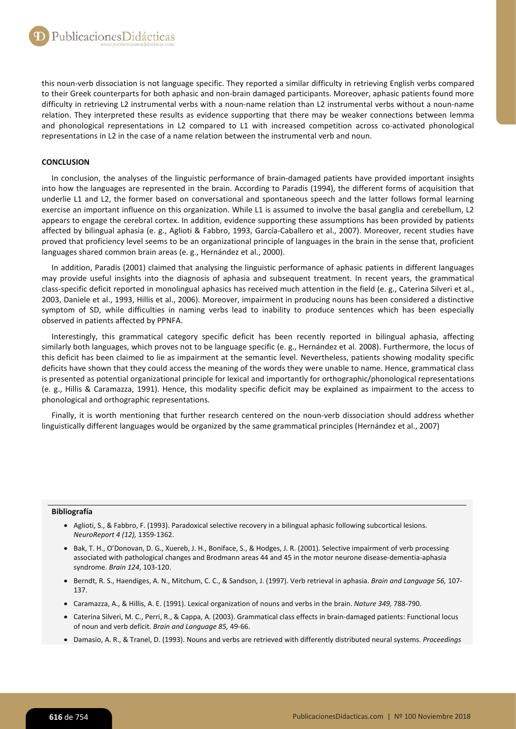this noun-verb dissociation is not language specific. They reported a similar difficulty in retrieving English verbs compared to their Greek counterparts for both aphasic and non-brain damaged participants. Moreover, aphasic patients found more difficulty in retrieving L2 instrumental verbs with a noun-name relation than L2 instrumental verbs without a noun-name relation. They interpreted these results as evidence supporting that there may be weaker connections between lemma and phonological representations in L2 compared to L1 with increased competition across co-activated phonological representations in L2 in the case of a name relation between the instrumental verb and noun.

## **CONCLUSION**

In conclusion, the analyses of the linguistic performance of brain-damaged patients have provided important insights into how the languages are represented in the brain. According to Paradis (1994), the different forms of acquisition that underlie L1 and L2, the former based on conversational and spontaneous speech and the latter follows formal learning exercise an important influence on this organization. While L1 is assumed to involve the basal ganglia and cerebellum, L2 appears to engage the cerebral cortex. In addition, evidence supporting these assumptions has been provided by patients affected by bilingual aphasia (e. g., Aglioti & Fabbro, 1993, García-Caballero et al., 2007). Moreover, recent studies have proved that proficiency level seems to be an organizational principle of languages in the brain in the sense that, proficient languages shared common brain areas (e. g., Hernández et al., 2000).

In addition, Paradis (2001) claimed that analysing the linguistic performance of aphasic patients in different languages may provide useful insights into the diagnosis of aphasia and subsequent treatment. In recent years, the grammatical class-specific deficit reported in monolingual aphasics has received much attention in the field (e. g., Caterina Silveri et al., 2003, Daniele et al., 1993, Hillis et al., 2006). Moreover, impairment in producing nouns has been considered a distinctive symptom of SD, while difficulties in naming verbs lead to inability to produce sentences which has been especially observed in patients affected by PPNFA.

Interestingly, this grammatical category specific deficit has been recently reported in bilingual aphasia, affecting similarly both languages, which proves not to be language specific (e. g., Hernández et al. 2008). Furthermore, the locus of this deficit has been claimed to lie as impairment at the semantic level. Nevertheless, patients showing modality specific deficits have shown that they could access the meaning of the words they were unable to name. Hence, grammatical class is presented as potential organizational principle for lexical and importantly for orthographic/phonological representations (e. g., Hillis & Caramazza, 1991). Hence, this modality specific deficit may be explained as impairment to the access to phonological and orthographic representations.

Finally, it is worth mentioning that further research centered on the noun-verb dissociation should address whether linguistically different languages would be organized by the same grammatical principles (Hernández et al., 2007)

## **Bibliografía**

- Aglioti, S., & Fabbro, F. (1993). Paradoxical selective recovery in a bilingual aphasic following subcortical lesions. *NeuroReport 4 (12),* 1359-1362.
- Bak, T. H., O'Donovan, D. G., Xuereb, J. H., Boniface, S., & Hodges, J. R. (2001). Selective impairment of verb processing associated with pathological changes and Brodmann areas 44 and 45 in the motor neurone disease-dementia-aphasia syndrome. *Brain 124*, 103-120.
- Berndt, R. S., Haendiges, A. N., Mitchum, C. C., & Sandson, J. (1997). Verb retrieval in aphasia. *Brain and Language 56,* 107- 137.
- Caramazza, A., & Hillis, A. E. (1991). Lexical organization of nouns and verbs in the brain. *Nature 349,* 788-790.
- Caterina Silveri, M. C., Perri, R., & Cappa, A. (2003). Grammatical class effects in brain-damaged patients: Functional locus of noun and verb deficit. *Brain and Language 85,* 49-66.
- Damasio, A. R., & Tranel, D. (1993). Nouns and verbs are retrieved with differently distributed neural systems. *Proceedings*